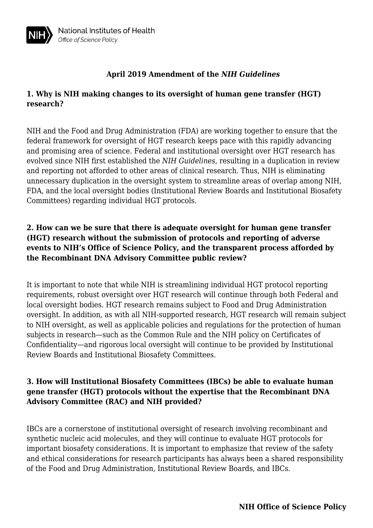# **1. Why is NIH making changes to its oversight of human gene transfer (HGT) research?**

NIH and the Food and Drug Administration (FDA) are working together to ensure that the federal framework for oversight of HGT research keeps pace with this rapidly advancing and promising area of science. Federal and institutional oversight over HGT research has evolved since NIH first established the *NIH Guidelines*, resulting in a duplication in review and reporting not afforded to other areas of clinical research. Thus, NIH is eliminating unnecessary duplication in the oversight system to streamline areas of overlap among NIH, FDA, and the local oversight bodies (Institutional Review Boards and Institutional Biosafety Committees) regarding individual HGT protocols.

# **2. How can we be sure that there is adequate oversight for human gene transfer (HGT) research without the submission of protocols and reporting of adverse events to NIH's Office of Science Policy, and the transparent process afforded by the Recombinant DNA Advisory Committee public review?**

It is important to note that while NIH is streamlining individual HGT protocol reporting requirements, robust oversight over HGT research will continue through both Federal and local oversight bodies. HGT research remains subject to Food and Drug Administration oversight. In addition, as with all NIH-supported research, HGT research will remain subject to NIH oversight, as well as applicable policies and regulations for the protection of human subjects in research—such as the Common Rule and the NIH policy on Certificates of Confidentiality—and rigorous local oversight will continue to be provided by Institutional Review Boards and Institutional Biosafety Committees.

# **3. How will Institutional Biosafety Committees (IBCs) be able to evaluate human gene transfer (HGT) protocols without the expertise that the Recombinant DNA Advisory Committee (RAC) and NIH provided?**

IBCs are a cornerstone of institutional oversight of research involving recombinant and synthetic nucleic acid molecules, and they will continue to evaluate HGT protocols for important biosafety considerations. It is important to emphasize that review of the safety and ethical considerations for research participants has always been a shared responsibility of the Food and Drug Administration, Institutional Review Boards, and IBCs.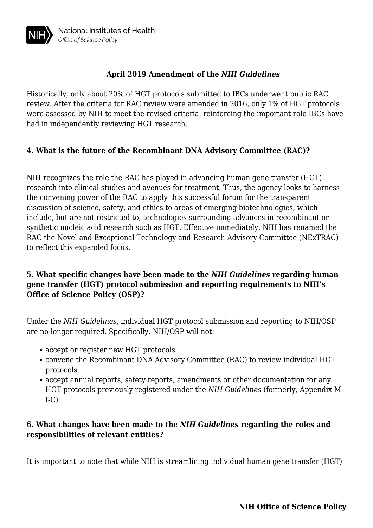Historically, only about 20% of HGT protocols submitted to IBCs underwent public RAC review. After the criteria for RAC review were amended in 2016, only 1% of HGT protocols were assessed by NIH to meet the revised criteria, reinforcing the important role IBCs have had in independently reviewing HGT research.

#### **4. What is the future of the Recombinant DNA Advisory Committee (RAC)?**

NIH recognizes the role the RAC has played in advancing human gene transfer (HGT) research into clinical studies and avenues for treatment. Thus, the agency looks to harness the convening power of the RAC to apply this successful forum for the transparent discussion of science, safety, and ethics to areas of emerging biotechnologies, which include, but are not restricted to, technologies surrounding advances in recombinant or synthetic nucleic acid research such as HGT. Effective immediately, NIH has renamed the RAC the Novel and Exceptional Technology and Research Advisory Committee (NExTRAC) to reflect this expanded focus.

#### **5. What specific changes have been made to the** *NIH Guidelines* **regarding human gene transfer (HGT) protocol submission and reporting requirements to NIH's Office of Science Policy (OSP)?**

Under the *NIH Guidelines,* individual HGT protocol submission and reporting to NIH/OSP are no longer required. Specifically, NIH/OSP will not:

- accept or register new HGT protocols
- convene the Recombinant DNA Advisory Committee (RAC) to review individual HGT protocols
- accept annual reports, safety reports, amendments or other documentation for any HGT protocols previously registered under the *NIH Guidelines* (formerly, Appendix M- $I-C$

### **6. What changes have been made to the** *NIH Guidelines* **regarding the roles and responsibilities of relevant entities?**

It is important to note that while NIH is streamlining individual human gene transfer (HGT)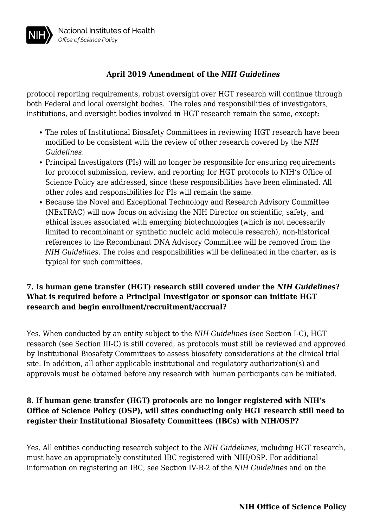protocol reporting requirements, robust oversight over HGT research will continue through both Federal and local oversight bodies. The roles and responsibilities of investigators, institutions, and oversight bodies involved in HGT research remain the same, except:

- The roles of Institutional Biosafety Committees in reviewing HGT research have been modified to be consistent with the review of other research covered by the *NIH Guidelines*.
- Principal Investigators (PIs) will no longer be responsible for ensuring requirements for protocol submission, review, and reporting for HGT protocols to NIH's Office of Science Policy are addressed, since these responsibilities have been eliminated. All other roles and responsibilities for PIs will remain the same.
- Because the Novel and Exceptional Technology and Research Advisory Committee (NExTRAC) will now focus on advising the NIH Director on scientific, safety, and ethical issues associated with emerging biotechnologies (which is not necessarily limited to recombinant or synthetic nucleic acid molecule research), non-historical references to the Recombinant DNA Advisory Committee will be removed from the *NIH Guidelines*. The roles and responsibilities will be delineated in the charter, as is typical for such committees.

#### **7. Is human gene transfer (HGT) research still covered under the** *NIH Guidelines***? What is required before a Principal Investigator or sponsor can initiate HGT research and begin enrollment/recruitment/accrual?**

Yes. When conducted by an entity subject to the *NIH Guidelines* (see Section I-C), HGT research (see Section III-C) is still covered, as protocols must still be reviewed and approved by Institutional Biosafety Committees to assess biosafety considerations at the clinical trial site. In addition, all other applicable institutional and regulatory authorization(s) and approvals must be obtained before any research with human participants can be initiated.

#### **8. If human gene transfer (HGT) protocols are no longer registered with NIH's Office of Science Policy (OSP), will sites conducting only HGT research still need to register their Institutional Biosafety Committees (IBCs) with NIH/OSP?**

Yes. All entities conducting research subject to the *NIH Guidelines*, including HGT research, must have an appropriately constituted IBC registered with NIH/OSP. For additional information on registering an IBC, see Section IV-B-2 of the *NIH Guidelines* and on the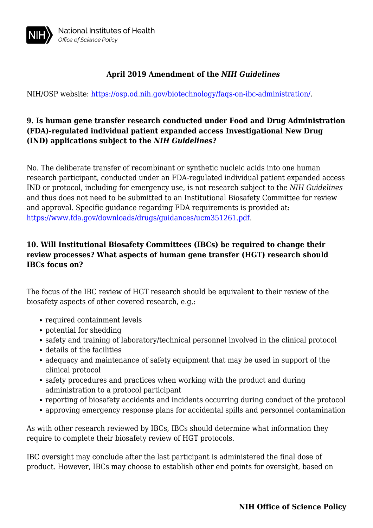

NIH/OSP website: [https://osp.od.nih.gov/biotechnology/faqs-on-ibc-administration/.](https://osp.od.nih.gov/biotechnology/faqs-on-ibc-administration/)

#### **9. Is human gene transfer research conducted under Food and Drug Administration (FDA)-regulated individual patient expanded access Investigational New Drug (IND) applications subject to the** *NIH Guidelines***?**

No. The deliberate transfer of recombinant or synthetic nucleic acids into one human research participant, conducted under an FDA-regulated individual patient expanded access IND or protocol, including for emergency use, is not research subject to the *NIH Guidelines* and thus does not need to be submitted to an Institutional Biosafety Committee for review and approval. Specific guidance regarding FDA requirements is provided at: [https://www.fda.gov/downloads/drugs/guidances/ucm351261.pdf.](https://www.fda.gov/downloads/drugs/guidances/ucm351261.pdf)

# **10. Will Institutional Biosafety Committees (IBCs) be required to change their review processes? What aspects of human gene transfer (HGT) research should IBCs focus on?**

The focus of the IBC review of HGT research should be equivalent to their review of the biosafety aspects of other covered research, e.g.:

- required containment levels
- potential for shedding
- safety and training of laboratory/technical personnel involved in the clinical protocol
- details of the facilities
- adequacy and maintenance of safety equipment that may be used in support of the clinical protocol
- safety procedures and practices when working with the product and during administration to a protocol participant
- reporting of biosafety accidents and incidents occurring during conduct of the protocol
- approving emergency response plans for accidental spills and personnel contamination

As with other research reviewed by IBCs, IBCs should determine what information they require to complete their biosafety review of HGT protocols.

IBC oversight may conclude after the last participant is administered the final dose of product. However, IBCs may choose to establish other end points for oversight, based on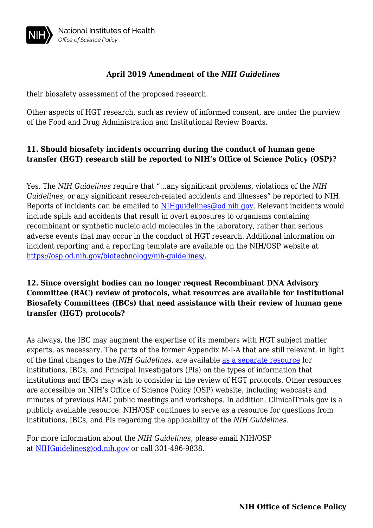

their biosafety assessment of the proposed research.

Other aspects of HGT research, such as review of informed consent, are under the purview of the Food and Drug Administration and Institutional Review Boards.

#### **11. Should biosafety incidents occurring during the conduct of human gene transfer (HGT) research still be reported to NIH's Office of Science Policy (OSP)?**

Yes. The *NIH Guidelines* require that "…any significant problems, violations of the *NIH Guidelines*, or any significant research-related accidents and illnesses" be reported to NIH. Reports of incidents can be emailed to NIHquidelines@od.nih.gov. Relevant incidents would include spills and accidents that result in overt exposures to organisms containing recombinant or synthetic nucleic acid molecules in the laboratory, rather than serious adverse events that may occur in the conduct of HGT research. Additional information on incident reporting and a reporting template are available on the NIH/OSP website at <https://osp.od.nih.gov/biotechnology/nih-guidelines/>.

#### **12. Since oversight bodies can no longer request Recombinant DNA Advisory Committee (RAC) review of protocols, what resources are available for Institutional Biosafety Committees (IBCs) that need assistance with their review of human gene transfer (HGT) protocols?**

As always, the IBC may augment the expertise of its members with HGT subject matter experts, as necessary. The parts of the former Appendix M-I-A that are still relevant, in light of the final changes to the *NIH Guidelines*, are available [as a separate resource](https://osp.od.nih.gov/wp-content/uploads/PTC_from_AppendixM_042319_508.pdf) for institutions, IBCs, and Principal Investigators (PIs) on the types of information that institutions and IBCs may wish to consider in the review of HGT protocols. Other resources are accessible on NIH's Office of Science Policy (OSP) website, including webcasts and minutes of previous RAC public meetings and workshops. In addition, ClinicalTrials.gov is a publicly available resource. NIH/OSP continues to serve as a resource for questions from institutions, IBCs, and PIs regarding the applicability of the *NIH Guidelines*.

For more information about the *NIH Guidelines*, please email NIH/OSP at [NIHGuidelines@od.nih.gov](https://osp.od.nih.gov/mailto:NIHGuidelines@od.nih.gov) or call 301-496-9838.